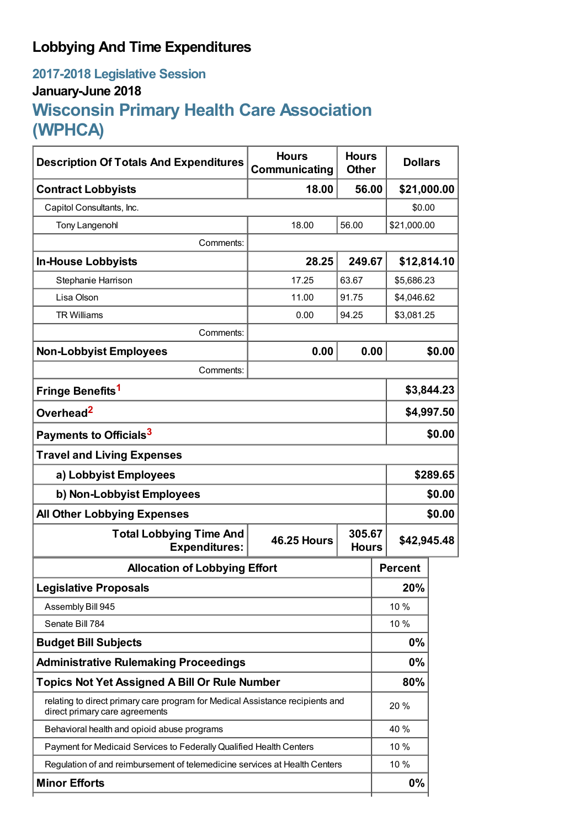# **Lobbying And Time Expenditures**

# **2017-2018 Legislative Session January-June 2018 Wisconsin Primary Health Care Association (WPHCA)**

| <b>Description Of Totals And Expenditures</b>                                                                   | <b>Hours</b><br>Communicating                | <b>Hours</b><br><b>Other</b> | <b>Dollars</b> |             |  |
|-----------------------------------------------------------------------------------------------------------------|----------------------------------------------|------------------------------|----------------|-------------|--|
| <b>Contract Lobbyists</b>                                                                                       | 18.00                                        | 56.00                        | \$21,000.00    |             |  |
| Capitol Consultants, Inc.                                                                                       |                                              |                              | \$0.00         |             |  |
| <b>Tony Langenohl</b>                                                                                           | 18.00                                        | 56.00                        | \$21,000.00    |             |  |
| Comments:                                                                                                       |                                              |                              |                |             |  |
| <b>In-House Lobbyists</b>                                                                                       | 28.25                                        | 249.67                       |                | \$12,814.10 |  |
| Stephanie Harrison                                                                                              | 17.25                                        | 63.67                        |                | \$5,686.23  |  |
| Lisa Olson                                                                                                      | 11.00                                        | 91.75                        |                | \$4,046.62  |  |
| <b>TR Williams</b>                                                                                              | 0.00                                         | 94.25                        | \$3,081.25     |             |  |
| Comments:                                                                                                       |                                              |                              |                |             |  |
| <b>Non-Lobbyist Employees</b>                                                                                   | 0.00                                         | 0.00                         |                | \$0.00      |  |
| Comments:                                                                                                       |                                              |                              |                |             |  |
| Fringe Benefits <sup>1</sup>                                                                                    |                                              |                              |                | \$3,844.23  |  |
| Overhead <sup>2</sup>                                                                                           |                                              |                              |                | \$4,997.50  |  |
| Payments to Officials <sup>3</sup>                                                                              |                                              |                              |                | \$0.00      |  |
| <b>Travel and Living Expenses</b>                                                                               |                                              |                              |                |             |  |
| a) Lobbyist Employees                                                                                           |                                              |                              |                | \$289.65    |  |
| b) Non-Lobbyist Employees                                                                                       |                                              |                              |                | \$0.00      |  |
| <b>All Other Lobbying Expenses</b>                                                                              |                                              |                              |                | \$0.00      |  |
| <b>Total Lobbying Time And</b><br><b>Expenditures:</b>                                                          | 305.67<br><b>46.25 Hours</b><br><b>Hours</b> |                              |                | \$42,945.48 |  |
| <b>Allocation of Lobbying Effort</b>                                                                            |                                              |                              | <b>Percent</b> |             |  |
| <b>Legislative Proposals</b>                                                                                    |                                              |                              | 20%            |             |  |
| Assembly Bill 945                                                                                               |                                              |                              | 10 %           |             |  |
| Senate Bill 784                                                                                                 |                                              |                              | 10 %           |             |  |
| <b>Budget Bill Subjects</b>                                                                                     |                                              |                              | 0%             |             |  |
| <b>Administrative Rulemaking Proceedings</b>                                                                    |                                              |                              | 0%             |             |  |
| <b>Topics Not Yet Assigned A Bill Or Rule Number</b>                                                            |                                              |                              | 80%            |             |  |
| relating to direct primary care program for Medical Assistance recipients and<br>direct primary care agreements |                                              |                              | 20%            |             |  |
| Behavioral health and opioid abuse programs                                                                     |                                              |                              | 40 %           |             |  |
| Payment for Medicaid Services to Federally Qualified Health Centers                                             |                                              |                              | 10 %           |             |  |
| Regulation of and reimbursement of telemedicine services at Health Centers                                      |                                              |                              |                |             |  |
| <b>Minor Efforts</b>                                                                                            |                                              |                              | 0%             |             |  |